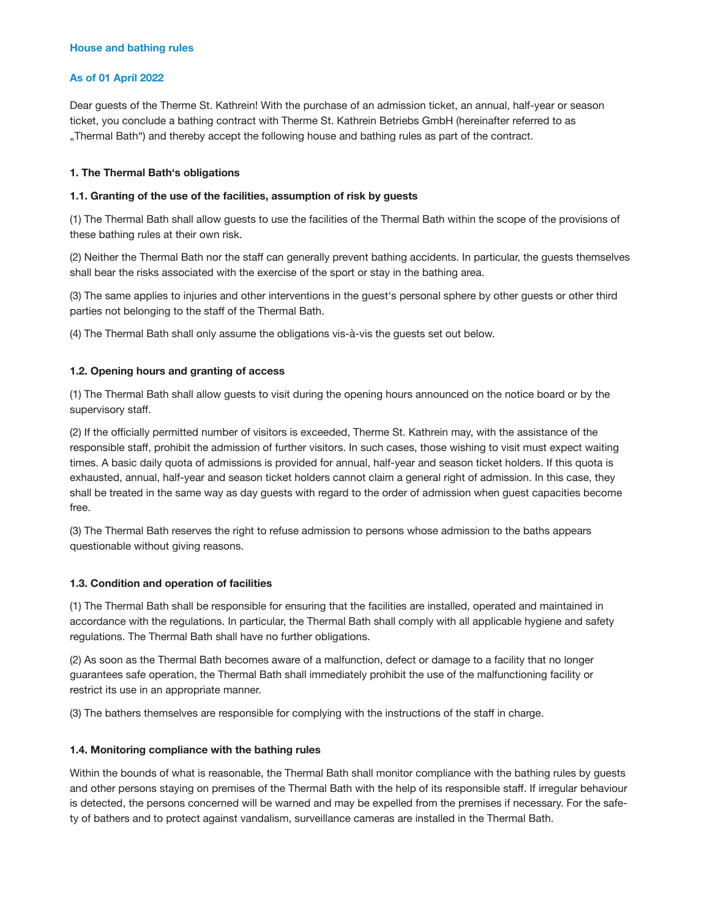## **As of 01 April 2022**

Dear guests of the Therme St. Kathrein! With the purchase of an admission ticket, an annual, half-year or season ticket, you conclude a bathing contract with Therme St. Kathrein Betriebs GmbH (hereinafter referred to as "Thermal Bath") and thereby accept the following house and bathing rules as part of the contract.

### **1. The Thermal Bath's obligations**

### **1.1. Granting of the use of the facilities, assumption of risk by guests**

(1) The Thermal Bath shall allow guests to use the facilities of the Thermal Bath within the scope of the provisions of these bathing rules at their own risk.

(2) Neither the Thermal Bath nor the staff can generally prevent bathing accidents. In particular, the guests themselves shall bear the risks associated with the exercise of the sport or stay in the bathing area.

(3) The same applies to injuries and other interventions in the guest's personal sphere by other guests or other third parties not belonging to the staff of the Thermal Bath.

(4) The Thermal Bath shall only assume the obligations vis-à-vis the guests set out below.

### **1.2. Opening hours and granting of access**

(1) The Thermal Bath shall allow guests to visit during the opening hours announced on the notice board or by the supervisory staff.

(2) If the officially permitted number of visitors is exceeded, Therme St. Kathrein may, with the assistance of the responsible staff, prohibit the admission of further visitors. In such cases, those wishing to visit must expect waiting times. A basic daily quota of admissions is provided for annual, half-year and season ticket holders. If this quota is exhausted, annual, half-year and season ticket holders cannot claim a general right of admission. In this case, they shall be treated in the same way as day guests with regard to the order of admission when guest capacities become free.

(3) The Thermal Bath reserves the right to refuse admission to persons whose admission to the baths appears questionable without giving reasons.

# **1.3. Condition and operation of facilities**

(1) The Thermal Bath shall be responsible for ensuring that the facilities are installed, operated and maintained in accordance with the regulations. In particular, the Thermal Bath shall comply with all applicable hygiene and safety regulations. The Thermal Bath shall have no further obligations.

(2) As soon as the Thermal Bath becomes aware of a malfunction, defect or damage to a facility that no longer guarantees safe operation, the Thermal Bath shall immediately prohibit the use of the malfunctioning facility or restrict its use in an appropriate manner.

(3) The bathers themselves are responsible for complying with the instructions of the staff in charge.

# **1.4. Monitoring compliance with the bathing rules**

Within the bounds of what is reasonable, the Thermal Bath shall monitor compliance with the bathing rules by guests and other persons staying on premises of the Thermal Bath with the help of its responsible staff. If irregular behaviour is detected, the persons concerned will be warned and may be expelled from the premises if necessary. For the safety of bathers and to protect against vandalism, surveillance cameras are installed in the Thermal Bath.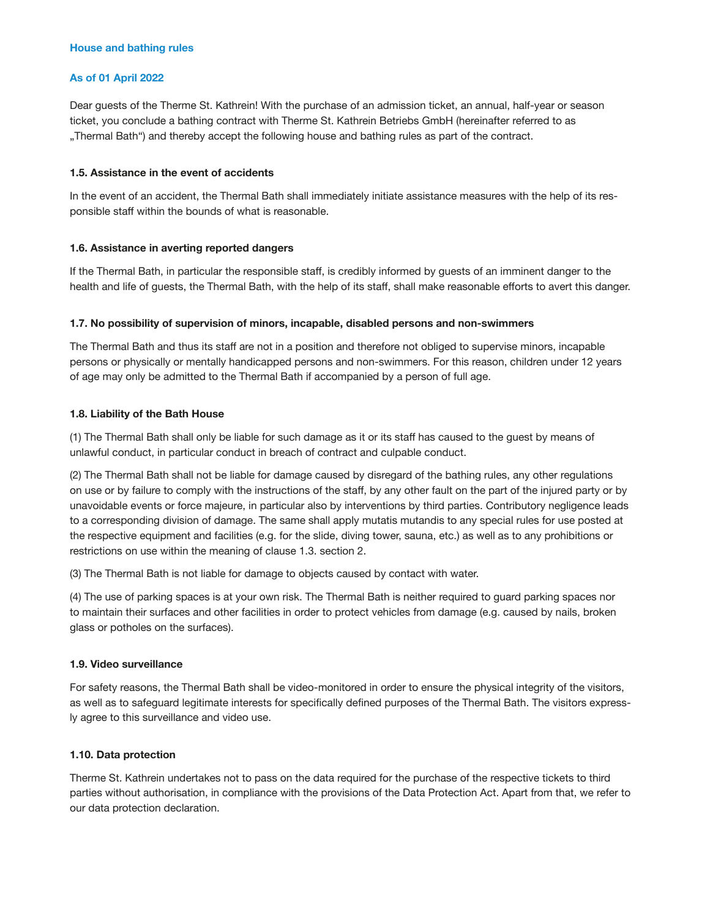## **As of 01 April 2022**

Dear guests of the Therme St. Kathrein! With the purchase of an admission ticket, an annual, half-year or season ticket, you conclude a bathing contract with Therme St. Kathrein Betriebs GmbH (hereinafter referred to as "Thermal Bath") and thereby accept the following house and bathing rules as part of the contract.

### **1.5. Assistance in the event of accidents**

In the event of an accident, the Thermal Bath shall immediately initiate assistance measures with the help of its responsible staff within the bounds of what is reasonable.

### **1.6. Assistance in averting reported dangers**

If the Thermal Bath, in particular the responsible staff, is credibly informed by guests of an imminent danger to the health and life of guests, the Thermal Bath, with the help of its staff, shall make reasonable efforts to avert this danger.

### **1.7. No possibility of supervision of minors, incapable, disabled persons and non-swimmers**

The Thermal Bath and thus its staff are not in a position and therefore not obliged to supervise minors, incapable persons or physically or mentally handicapped persons and non-swimmers. For this reason, children under 12 years of age may only be admitted to the Thermal Bath if accompanied by a person of full age.

### **1.8. Liability of the Bath House**

(1) The Thermal Bath shall only be liable for such damage as it or its staff has caused to the guest by means of unlawful conduct, in particular conduct in breach of contract and culpable conduct.

(2) The Thermal Bath shall not be liable for damage caused by disregard of the bathing rules, any other regulations on use or by failure to comply with the instructions of the staff, by any other fault on the part of the injured party or by unavoidable events or force majeure, in particular also by interventions by third parties. Contributory negligence leads to a corresponding division of damage. The same shall apply mutatis mutandis to any special rules for use posted at the respective equipment and facilities (e.g. for the slide, diving tower, sauna, etc.) as well as to any prohibitions or restrictions on use within the meaning of clause 1.3. section 2.

(3) The Thermal Bath is not liable for damage to objects caused by contact with water.

(4) The use of parking spaces is at your own risk. The Thermal Bath is neither required to guard parking spaces nor to maintain their surfaces and other facilities in order to protect vehicles from damage (e.g. caused by nails, broken glass or potholes on the surfaces).

#### **1.9. Video surveillance**

For safety reasons, the Thermal Bath shall be video-monitored in order to ensure the physical integrity of the visitors, as well as to safeguard legitimate interests for specifically defined purposes of the Thermal Bath. The visitors expressly agree to this surveillance and video use.

# **1.10. Data protection**

Therme St. Kathrein undertakes not to pass on the data required for the purchase of the respective tickets to third parties without authorisation, in compliance with the provisions of the Data Protection Act. Apart from that, we refer to our data protection declaration.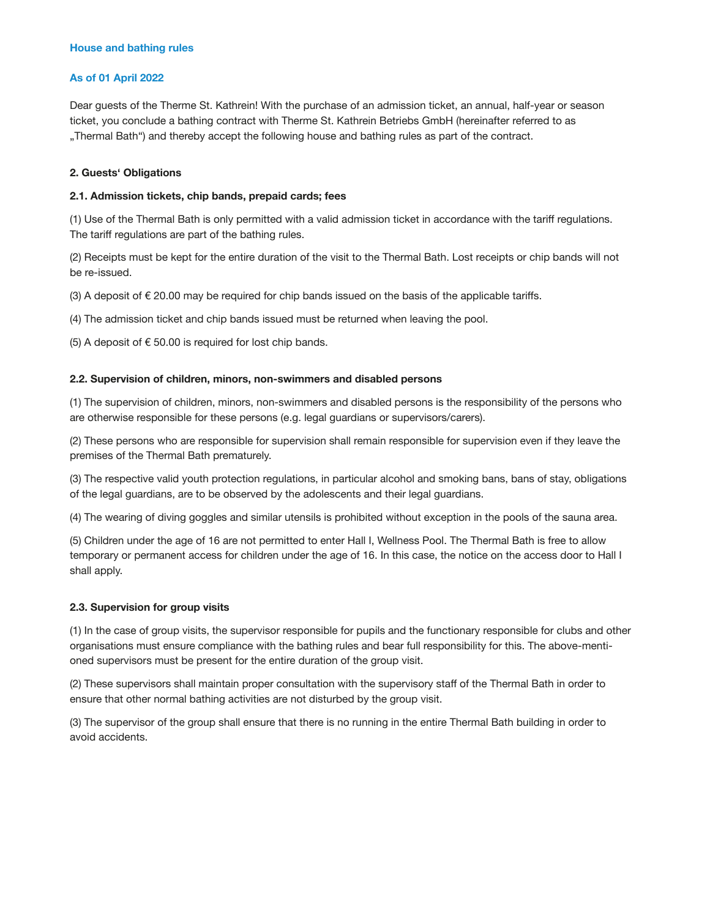## **As of 01 April 2022**

Dear guests of the Therme St. Kathrein! With the purchase of an admission ticket, an annual, half-year or season ticket, you conclude a bathing contract with Therme St. Kathrein Betriebs GmbH (hereinafter referred to as "Thermal Bath") and thereby accept the following house and bathing rules as part of the contract.

### **2. Guests' Obligations**

### **2.1. Admission tickets, chip bands, prepaid cards; fees**

(1) Use of the Thermal Bath is only permitted with a valid admission ticket in accordance with the tariff regulations. The tariff regulations are part of the bathing rules.

(2) Receipts must be kept for the entire duration of the visit to the Thermal Bath. Lost receipts or chip bands will not be re-issued.

(3) A deposit of  $\epsilon$  20.00 may be required for chip bands issued on the basis of the applicable tariffs.

(4) The admission ticket and chip bands issued must be returned when leaving the pool.

(5) A deposit of  $\epsilon$  50.00 is required for lost chip bands.

### **2.2. Supervision of children, minors, non-swimmers and disabled persons**

(1) The supervision of children, minors, non-swimmers and disabled persons is the responsibility of the persons who are otherwise responsible for these persons (e.g. legal guardians or supervisors/carers).

(2) These persons who are responsible for supervision shall remain responsible for supervision even if they leave the premises of the Thermal Bath prematurely.

(3) The respective valid youth protection regulations, in particular alcohol and smoking bans, bans of stay, obligations of the legal guardians, are to be observed by the adolescents and their legal guardians.

(4) The wearing of diving goggles and similar utensils is prohibited without exception in the pools of the sauna area.

(5) Children under the age of 16 are not permitted to enter Hall I, Wellness Pool. The Thermal Bath is free to allow temporary or permanent access for children under the age of 16. In this case, the notice on the access door to Hall I shall apply.

#### **2.3. Supervision for group visits**

(1) In the case of group visits, the supervisor responsible for pupils and the functionary responsible for clubs and other organisations must ensure compliance with the bathing rules and bear full responsibility for this. The above-mentioned supervisors must be present for the entire duration of the group visit.

(2) These supervisors shall maintain proper consultation with the supervisory staff of the Thermal Bath in order to ensure that other normal bathing activities are not disturbed by the group visit.

(3) The supervisor of the group shall ensure that there is no running in the entire Thermal Bath building in order to avoid accidents.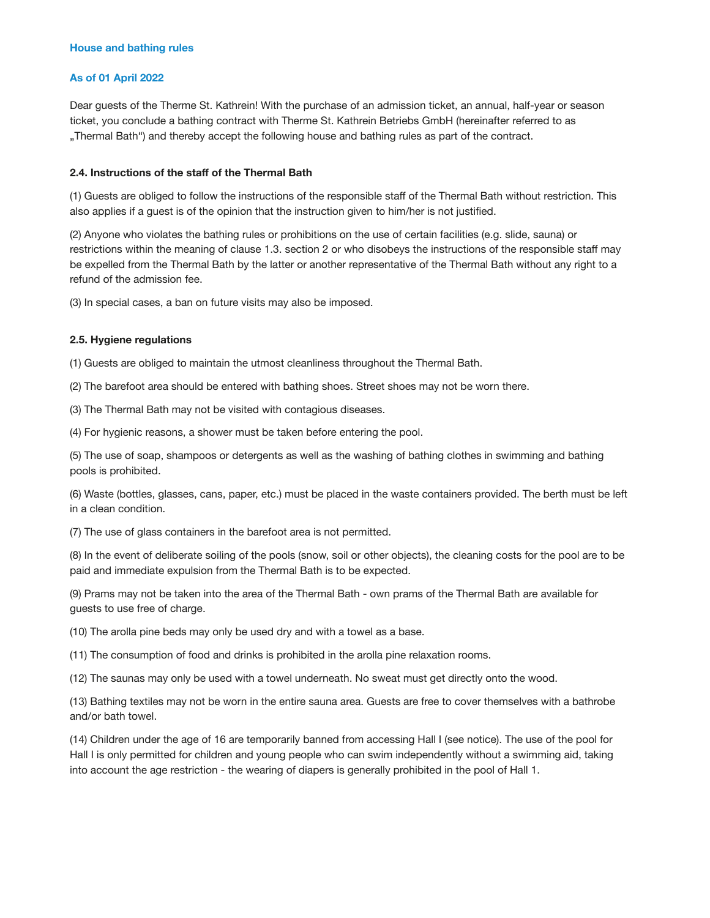## **As of 01 April 2022**

Dear guests of the Therme St. Kathrein! With the purchase of an admission ticket, an annual, half-year or season ticket, you conclude a bathing contract with Therme St. Kathrein Betriebs GmbH (hereinafter referred to as "Thermal Bath") and thereby accept the following house and bathing rules as part of the contract.

# **2.4. Instructions of the staff of the Thermal Bath**

(1) Guests are obliged to follow the instructions of the responsible staff of the Thermal Bath without restriction. This also applies if a guest is of the opinion that the instruction given to him/her is not justified.

(2) Anyone who violates the bathing rules or prohibitions on the use of certain facilities (e.g. slide, sauna) or restrictions within the meaning of clause 1.3. section 2 or who disobeys the instructions of the responsible staff may be expelled from the Thermal Bath by the latter or another representative of the Thermal Bath without any right to a refund of the admission fee.

(3) In special cases, a ban on future visits may also be imposed.

### **2.5. Hygiene regulations**

(1) Guests are obliged to maintain the utmost cleanliness throughout the Thermal Bath.

(2) The barefoot area should be entered with bathing shoes. Street shoes may not be worn there.

(3) The Thermal Bath may not be visited with contagious diseases.

(4) For hygienic reasons, a shower must be taken before entering the pool.

(5) The use of soap, shampoos or detergents as well as the washing of bathing clothes in swimming and bathing pools is prohibited.

(6) Waste (bottles, glasses, cans, paper, etc.) must be placed in the waste containers provided. The berth must be left in a clean condition.

(7) The use of glass containers in the barefoot area is not permitted.

(8) In the event of deliberate soiling of the pools (snow, soil or other objects), the cleaning costs for the pool are to be paid and immediate expulsion from the Thermal Bath is to be expected.

(9) Prams may not be taken into the area of the Thermal Bath - own prams of the Thermal Bath are available for guests to use free of charge.

(10) The arolla pine beds may only be used dry and with a towel as a base.

(11) The consumption of food and drinks is prohibited in the arolla pine relaxation rooms.

(12) The saunas may only be used with a towel underneath. No sweat must get directly onto the wood.

(13) Bathing textiles may not be worn in the entire sauna area. Guests are free to cover themselves with a bathrobe and/or bath towel.

(14) Children under the age of 16 are temporarily banned from accessing Hall I (see notice). The use of the pool for Hall I is only permitted for children and young people who can swim independently without a swimming aid, taking into account the age restriction - the wearing of diapers is generally prohibited in the pool of Hall 1.